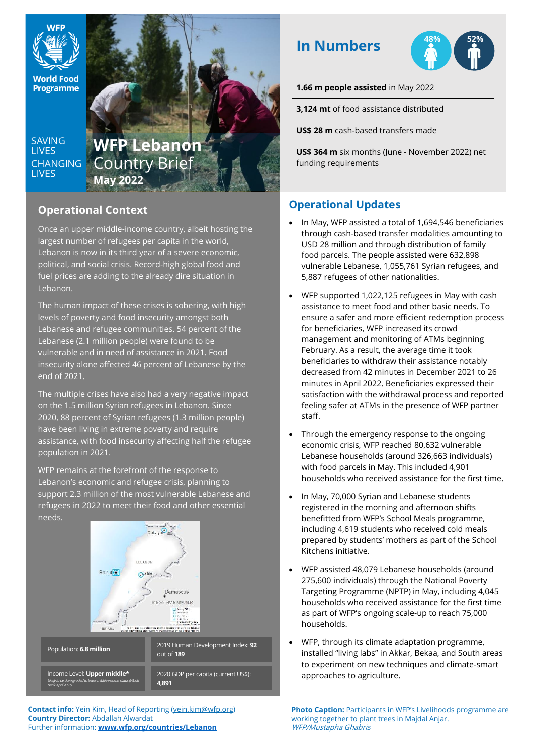

**Programme** 

**SAVING LIVES CHANGING LIVES** 

# **WFP Lebanon** Country Brief **May 2022**

## **Operational Context**

Once an upper middle-income country, albeit hosting the largest number of refugees per capita in the world, Lebanon is now in its third year of a severe economic, political, and social crisis. Record-high global food and fuel prices are adding to the already dire situation in Lebanon.

The human impact of these crises is sobering, with high levels of poverty and food insecurity amongst both Lebanese and refugee communities. 54 percent of the Lebanese (2.1 million people) were found to be vulnerable and in need of assistance in 2021. Food insecurity alone affected 46 percent of Lebanese by the end of 2021.

The multiple crises have also had a very negative impact on the 1.5 million Syrian refugees in Lebanon. Since 2020, 88 percent of Syrian refugees (1.3 million people) have been living in extreme poverty and require assistance, with food insecurity affecting half the refugee population in 2021.

WFP remains at the forefront of the response to Lebanon's economic and refugee crisis, planning to support 2.3 million of the most vulnerable Lebanese and refugees in 2022 to meet their food and other essential needs.



**Contact info:** Yein Kim, Head of Reporting (yein.kim@wfp.org) **Country Director:** Abdallah Alwardat Further information: **[www.wfp.org/countries/Lebanon](http://www.wfp.org/countries/Lebanon)**

## **In Numbers**



**1.66 m people assisted** in May 2022

**3,124 mt** of food assistance distributed

**US\$ 28 m** cash-based transfers made

**US\$ 364 m** six months (June - November 2022) net funding requirements

## **Operational Updates**

- In May, WFP assisted a total of 1,694,546 beneficiaries through cash-based transfer modalities amounting to USD 28 million and through distribution of family food parcels. The people assisted were 632,898 vulnerable Lebanese, 1,055,761 Syrian refugees, and 5,887 refugees of other nationalities.
- WFP supported 1,022,125 refugees in May with cash assistance to meet food and other basic needs. To ensure a safer and more efficient redemption process for beneficiaries, WFP increased its crowd management and monitoring of ATMs beginning February. As a result, the average time it took beneficiaries to withdraw their assistance notably decreased from 42 minutes in December 2021 to 26 minutes in April 2022. Beneficiaries expressed their satisfaction with the withdrawal process and reported feeling safer at ATMs in the presence of WFP partner staff.
- Through the emergency response to the ongoing economic crisis, WFP reached 80,632 vulnerable Lebanese households (around 326,663 individuals) with food parcels in May. This included 4,901 households who received assistance for the first time.
- In May, 70,000 Syrian and Lebanese students registered in the morning and afternoon shifts benefitted from WFP's School Meals programme, including 4,619 students who received cold meals prepared by students' mothers as part of the School Kitchens initiative.
- WFP assisted 48,079 Lebanese households (around 275,600 individuals) through the National Poverty Targeting Programme (NPTP) in May, including 4,045 households who received assistance for the first time as part of WFP's ongoing scale-up to reach 75,000 households.
- WFP, through its climate adaptation programme, installed "living labs" in Akkar, Bekaa, and South areas to experiment on new techniques and climate-smart approaches to agriculture.

**Photo Caption: Participants in WFP's Livelihoods programme are** working together to plant trees in Majdal Anjar. WFP/Mustapha Ghabris